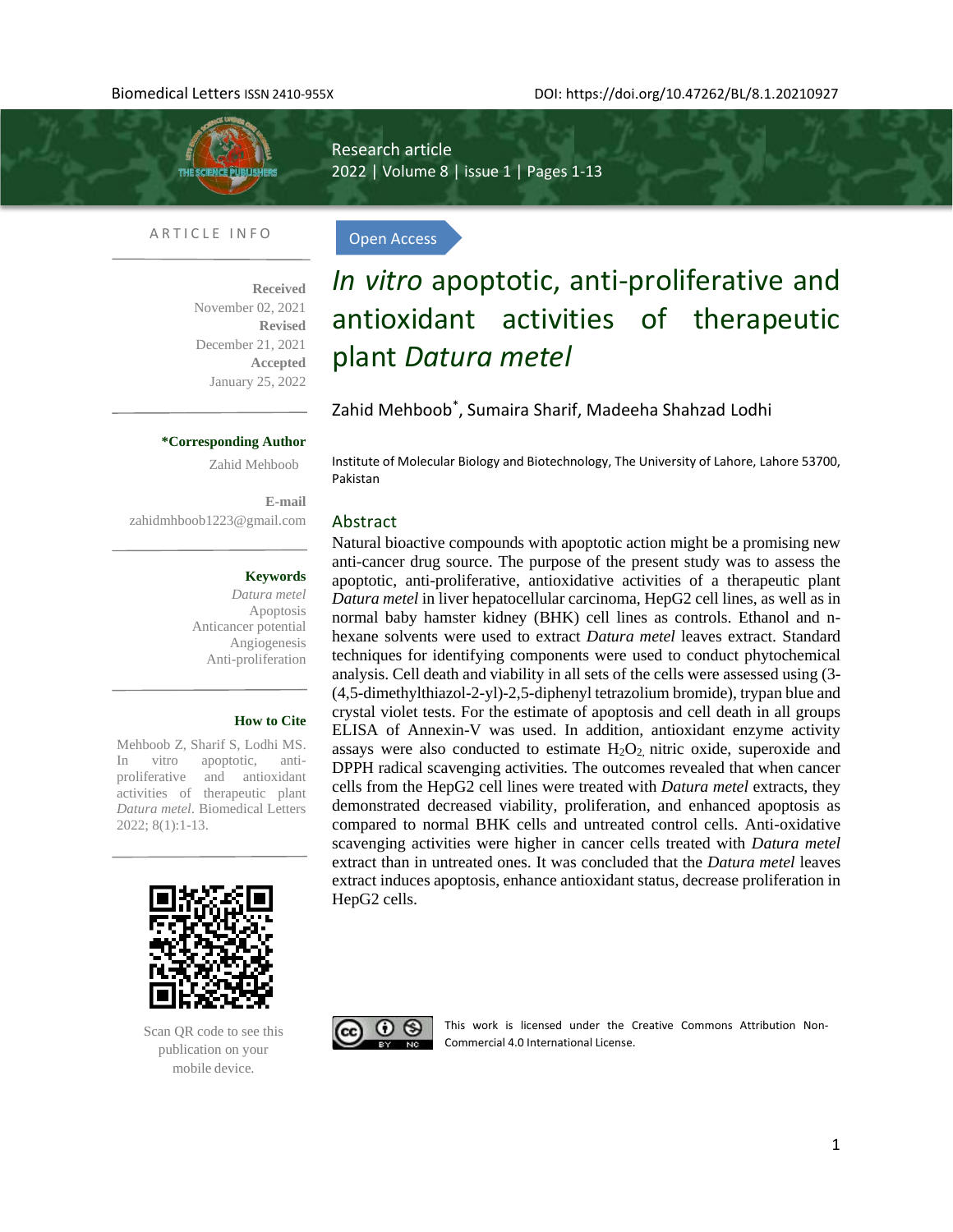

Research article 2022 | Volume 8 | issue 1 | Pages 1-13

Open Access

# ARTICLE INFO

l

**Received**  November 02, 2021 **Revised**  December 21, 2021 **Accepted** January 25, 2022

# *In vitro* apoptotic, anti-proliferative and antioxidant activities of therapeutic plant *Datura metel*

Zahid Mehboob\* , Sumaira Sharif, Madeeha Shahzad Lodhi

# **\*Corresponding Author**

Zahid Mehboob

**E-mail**  [zahidmhboob1223@gmail.com](mailto:zahidmhboob1223@gmail.com)

# **Keywords**

*Datura metel* Apoptosis Anticancer potential Angiogenesis Anti-proliferation

#### **How to Cite**

Mehboob Z, Sharif S, Lodhi MS. In vitro apoptotic, antiproliferative and antioxidant activities of therapeutic plant *Datura metel*. Biomedical Letters 2022; 8(1):1-13.



Scan QR code to see this publication on your mobile device.

Institute of Molecular Biology and Biotechnology, The University of Lahore, Lahore 53700, Pakistan

# Abstract

Natural bioactive compounds with apoptotic action might be a promising new anti-cancer drug source. The purpose of the present study was to assess the apoptotic, anti-proliferative, antioxidative activities of a therapeutic plant *Datura metel* in liver hepatocellular carcinoma, HepG2 cell lines, as well as in normal baby hamster kidney (BHK) cell lines as controls. Ethanol and nhexane solvents were used to extract *Datura metel* leaves extract. Standard techniques for identifying components were used to conduct phytochemical analysis. Cell death and viability in all sets of the cells were assessed using (3- (4,5-dimethylthiazol-2-yl)-2,5-diphenyl tetrazolium bromide), trypan blue and crystal violet tests. For the estimate of apoptosis and cell death in all groups ELISA of Annexin-V was used. In addition, antioxidant enzyme activity assays were also conducted to estimate  $H_2O_2$  nitric oxide, superoxide and DPPH radical scavenging activities. The outcomes revealed that when cancer cells from the HepG2 cell lines were treated with *Datura metel* extracts, they demonstrated decreased viability, proliferation, and enhanced apoptosis as compared to normal BHK cells and untreated control cells. Anti-oxidative scavenging activities were higher in cancer cells treated with *Datura metel* extract than in untreated ones. It was concluded that the *Datura metel* leaves extract induces apoptosis, enhance antioxidant status, decrease proliferation in HepG2 cells.



This work is licensed under the Creative Commons Attribution Non-Commercial 4.0 International License.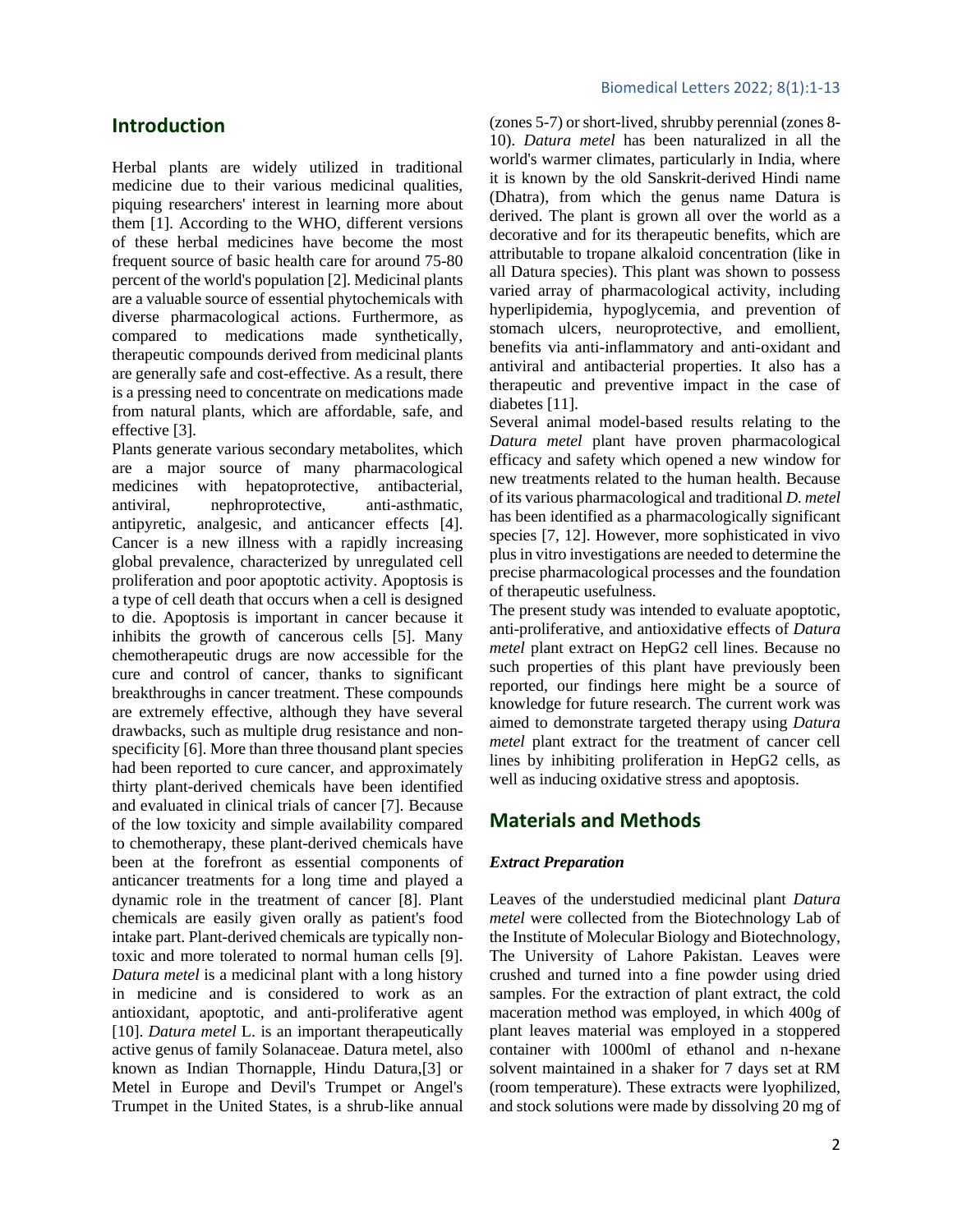# **Introduction**

Herbal plants are widely utilized in traditional medicine due to their various medicinal qualities, piquing researchers' interest in learning more about them [1]. According to the WHO, different versions of these herbal medicines have become the most frequent source of basic health care for around 75-80 percent of the world's population [2]. Medicinal plants are a valuable source of essential phytochemicals with diverse pharmacological actions. Furthermore, as compared to medications made synthetically, therapeutic compounds derived from medicinal plants are generally safe and cost-effective. As a result, there is a pressing need to concentrate on medications made from natural plants, which are affordable, safe, and effective [3].

Plants generate various secondary metabolites, which are a major source of many pharmacological medicines with hepatoprotective, antibacterial, antiviral, nephroprotective, anti-asthmatic, antipyretic, analgesic, and anticancer effects [4]. Cancer is a new illness with a rapidly increasing global prevalence, characterized by unregulated cell proliferation and poor apoptotic activity. Apoptosis is a type of cell death that occurs when a cell is designed to die. Apoptosis is important in cancer because it inhibits the growth of cancerous cells [5]. Many chemotherapeutic drugs are now accessible for the cure and control of cancer, thanks to significant breakthroughs in cancer treatment. These compounds are extremely effective, although they have several drawbacks, such as multiple drug resistance and nonspecificity [6]. More than three thousand plant species had been reported to cure cancer, and approximately thirty plant-derived chemicals have been identified and evaluated in clinical trials of cancer [7]. Because of the low toxicity and simple availability compared to chemotherapy, these plant-derived chemicals have been at the forefront as essential components of anticancer treatments for a long time and played a dynamic role in the treatment of cancer [8]. Plant chemicals are easily given orally as patient's food intake part. Plant-derived chemicals are typically nontoxic and more tolerated to normal human cells [9]. *Datura metel* is a medicinal plant with a long history in medicine and is considered to work as an antioxidant, apoptotic, and anti-proliferative agent [10]. *Datura metel* L. is an important therapeutically active [genus](https://en.wikipedia.org/wiki/Genus) of family [Solanaceae.](https://en.wikipedia.org/wiki/Solanaceae) Datura metel, also known as Indian Thornapple, Hindu Datura,[3] or Metel in Europe and Devil's Trumpet or Angel's Trumpet in the United States, is a shrub-like annual (zones 5-7) or short-lived, shrubby perennial (zones 8- 10). *Datura metel* has been naturalized in all the world's warmer climates, particularly in India, where it is known by the old Sanskrit-derived Hindi name (Dhatra), from which the genus name Datura is derived. The plant is grown all over the world as a decorative and for its therapeutic benefits, which are attributable to tropane alkaloid concentration (like in all Datura species). This plant was shown to possess varied array of pharmacological activity, including hyperlipidemia, hypoglycemia, and prevention of stomach ulcers, neuroprotective, and emollient, benefits via anti-inflammatory and anti-oxidant and antiviral and antibacterial properties. It also has a therapeutic and preventive impact in the case of diabetes [11].

Several animal model-based results relating to the *Datura metel* plant have proven pharmacological efficacy and safety which opened a new window for new treatments related to the human health. Because of its various pharmacological and traditional *D. metel* has been identified as a pharmacologically significant species [7, 12]. However, more sophisticated in vivo plus in vitro investigations are needed to determine the precise pharmacological processes and the foundation of therapeutic usefulness.

The present study was intended to evaluate apoptotic, anti-proliferative, and antioxidative effects of *Datura metel* plant extract on HepG2 cell lines. Because no such properties of this plant have previously been reported, our findings here might be a source of knowledge for future research. The current work was aimed to demonstrate targeted therapy using *Datura metel* plant extract for the treatment of cancer cell lines by inhibiting proliferation in HepG2 cells, as well as inducing oxidative stress and apoptosis.

# **Materials and Methods**

# *Extract Preparation*

Leaves of the understudied medicinal plant *Datura metel* were collected from the Biotechnology Lab of the Institute of Molecular Biology and Biotechnology, The University of Lahore Pakistan. Leaves were crushed and turned into a fine powder using dried samples. For the extraction of plant extract, the cold maceration method was employed, in which 400g of plant leaves material was employed in a stoppered container with 1000ml of ethanol and n-hexane solvent maintained in a shaker for 7 days set at RM (room temperature). These extracts were lyophilized, and stock solutions were made by dissolving 20 mg of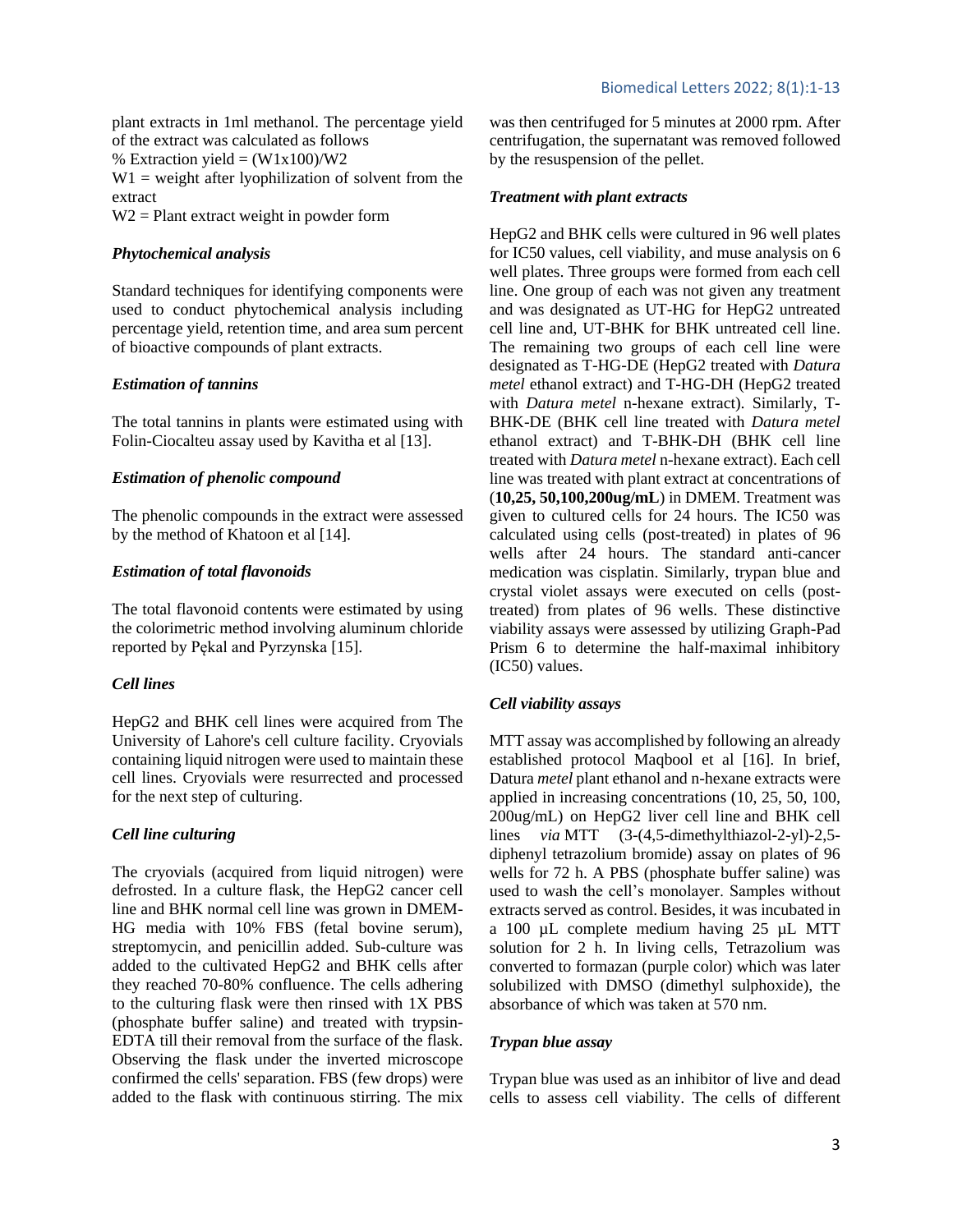plant extracts in 1ml methanol. The percentage yield of the extract was calculated as follows % Extraction yield  $=$   $(W1x100)/W2$  $W1$  = weight after lyophilization of solvent from the extract W2 = Plant extract weight in powder form

# *Phytochemical analysis*

Standard techniques for identifying components were used to conduct phytochemical analysis including percentage yield, retention time, and area sum percent of bioactive compounds of plant extracts.

# *Estimation of tannins*

The total tannins in plants were estimated using with Folin-Ciocalteu assay used by Kavitha et al [13].

# *Estimation of phenolic compound*

The phenolic compounds in the extract were assessed by the method of Khatoon et al [14].

# *Estimation of total flavonoids*

The total flavonoid contents were estimated by using the colorimetric method involving aluminum chloride reported by Pękal and Pyrzynska [15].

# *Cell lines*

HepG2 and BHK cell lines were acquired from The University of Lahore's cell culture facility. Cryovials containing liquid nitrogen were used to maintain these cell lines. Cryovials were resurrected and processed for the next step of culturing.

# *Cell line culturing*

The cryovials (acquired from liquid nitrogen) were defrosted. In a culture flask, the HepG2 cancer cell line and BHK normal cell line was grown in DMEM-HG media with 10% FBS (fetal bovine serum), streptomycin, and penicillin added. Sub-culture was added to the cultivated HepG2 and BHK cells after they reached 70-80% confluence. The cells adhering to the culturing flask were then rinsed with 1X PBS (phosphate buffer saline) and treated with trypsin-EDTA till their removal from the surface of the flask. Observing the flask under the inverted microscope confirmed the cells' separation. FBS (few drops) were added to the flask with continuous stirring. The mix was then centrifuged for 5 minutes at 2000 rpm. After centrifugation, the supernatant was removed followed by the resuspension of the pellet.

# *Treatment with plant extracts*

HepG2 and BHK cells were cultured in 96 well plates for IC50 values, cell viability, and muse analysis on 6 well plates. Three groups were formed from each cell line. One group of each was not given any treatment and was designated as UT-HG for HepG2 untreated cell line and, UT-BHK for BHK untreated cell line. The remaining two groups of each cell line were designated as T-HG-DE (HepG2 treated with *Datura metel* ethanol extract) and T-HG-DH (HepG2 treated with *Datura metel* n-hexane extract). Similarly, T-BHK-DE (BHK cell line treated with *Datura metel*  ethanol extract) and T-BHK-DH (BHK cell line treated with *Datura metel* n-hexane extract). Each cell line was treated with plant extract at concentrations of (**10,25, 50,100,200ug/mL**) in DMEM. Treatment was given to cultured cells for 24 hours. The IC50 was calculated using cells (post-treated) in plates of 96 wells after 24 hours. The standard anti-cancer medication was cisplatin. Similarly, trypan blue and crystal violet assays were executed on cells (posttreated) from plates of 96 wells. These distinctive viability assays were assessed by utilizing Graph-Pad Prism 6 to determine the half-maximal inhibitory (IC50) values.

# *Cell viability assays*

MTT assay was accomplished by following an already established protocol Maqbool et al [16]. In brief, Datura *metel* plant ethanol and n-hexane extracts were applied in increasing concentrations (10, 25, 50, 100, 200ug/mL) on HepG2 liver cell line and BHK cell lines *via* MTT (3-(4,5-dimethylthiazol-2-yl)-2,5 diphenyl tetrazolium bromide) assay on plates of 96 wells for 72 h. A PBS (phosphate buffer saline) was used to wash the cell's monolayer. Samples without extracts served as control. Besides, it was incubated in a 100 µL complete medium having 25 µL MTT solution for 2 h. In living cells, Tetrazolium was converted to formazan (purple color) which was later solubilized with DMSO (dimethyl sulphoxide), the absorbance of which was taken at 570 nm.

#### *Trypan blue assay*

Trypan blue was used as an inhibitor of live and dead cells to assess cell viability. The cells of different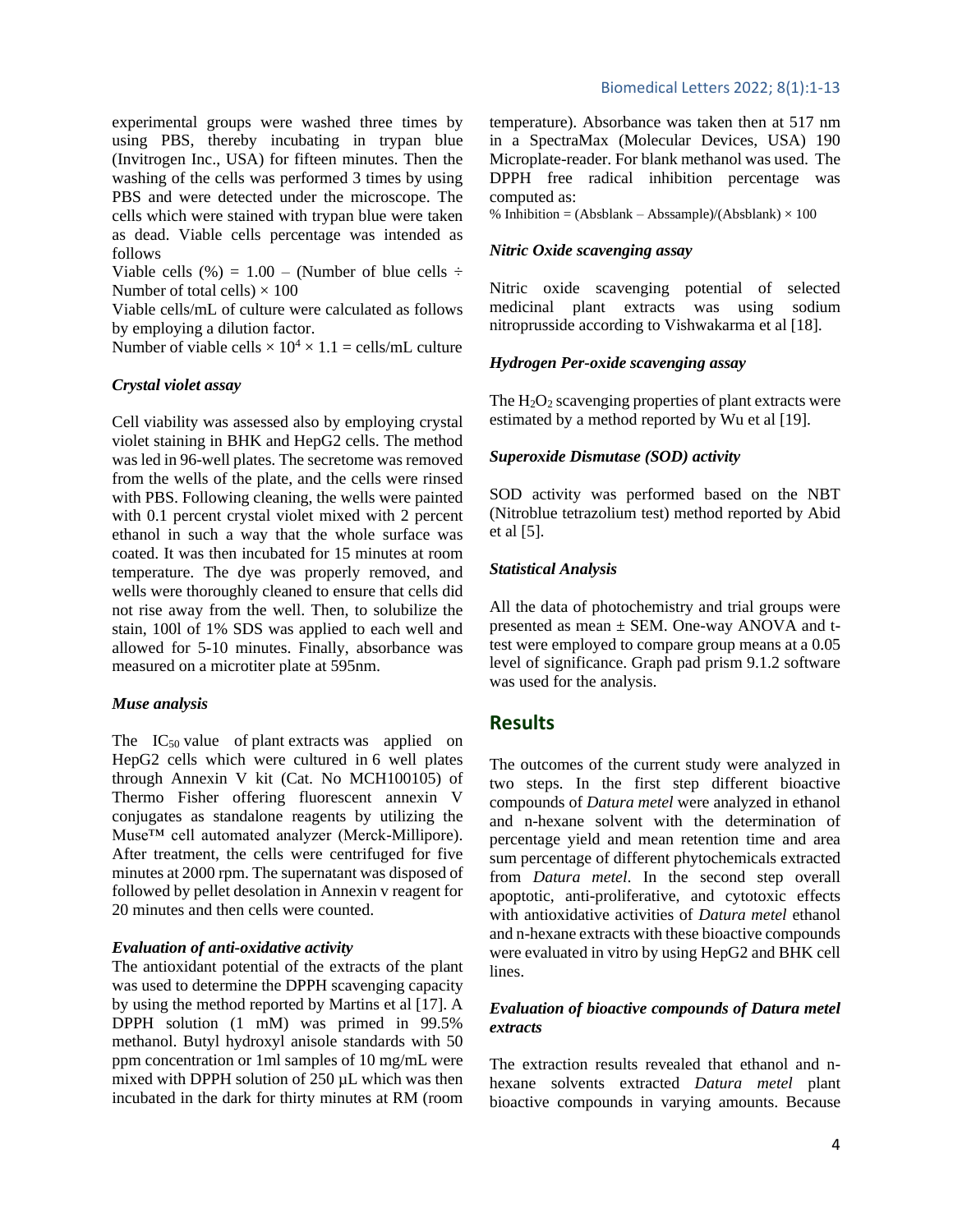experimental groups were washed three times by using PBS, thereby incubating in trypan blue (Invitrogen Inc., USA) for fifteen minutes. Then the washing of the cells was performed 3 times by using PBS and were detected under the microscope. The cells which were stained with trypan blue were taken as dead. Viable cells percentage was intended as follows

Viable cells (%) =  $1.00$  – (Number of blue cells  $\div$ Number of total cells)  $\times$  100

Viable cells/mL of culture were calculated as follows by employing a dilution factor.

Number of viable cells  $\times$  10<sup>4</sup>  $\times$  1.1 = cells/mL culture

# *Crystal violet assay*

Cell viability was assessed also by employing crystal violet staining in BHK and HepG2 cells. The method was led in 96-well plates. The secretome was removed from the wells of the plate, and the cells were rinsed with PBS. Following cleaning, the wells were painted with 0.1 percent crystal violet mixed with 2 percent ethanol in such a way that the whole surface was coated. It was then incubated for 15 minutes at room temperature. The dye was properly removed, and wells were thoroughly cleaned to ensure that cells did not rise away from the well. Then, to solubilize the stain, 100l of 1% SDS was applied to each well and allowed for 5-10 minutes. Finally, absorbance was measured on a microtiter plate at 595nm.

# *Muse analysis*

The  $IC_{50}$  value of plant extracts was applied on HepG2 cells which were cultured in 6 well plates through Annexin V kit (Cat. No MCH100105) of Thermo Fisher offering fluorescent annexin V conjugates as standalone reagents by utilizing the Muse™ cell automated analyzer (Merck-Millipore). After treatment, the cells were centrifuged for five minutes at 2000 rpm. The supernatant was disposed of followed by pellet desolation in Annexin v reagent for 20 minutes and then cells were counted.

# *Evaluation of anti-oxidative activity*

The antioxidant potential of the extracts of the plant was used to determine the DPPH scavenging capacity by using the method reported by Martins et al [17]. A DPPH solution (1 mM) was primed in 99.5% methanol. Butyl hydroxyl anisole standards with 50 ppm concentration or 1ml samples of 10 mg/mL were mixed with DPPH solution of 250 µL which was then incubated in the dark for thirty minutes at RM (room temperature). Absorbance was taken then at 517 nm in a SpectraMax (Molecular Devices, USA) 190 Microplate-reader. For blank methanol was used. The DPPH free radical inhibition percentage was computed as:

% Inhibition =  $(Absblank - Abssample)/(Absblank) \times 100$ 

# *Nitric Oxide scavenging assay*

Nitric oxide scavenging potential of selected medicinal plant extracts was using sodium nitroprusside according to Vishwakarma et al [18].

# *Hydrogen Per-oxide scavenging assay*

The  $H_2O_2$  scavenging properties of plant extracts were estimated by a method reported by Wu et al [19].

# *Superoxide Dismutase (SOD) activity*

SOD activity was performed based on the NBT (Nitroblue tetrazolium test) method reported by Abid et al [5].

### *Statistical Analysis*

All the data of photochemistry and trial groups were presented as mean ± SEM. One-way ANOVA and ttest were employed to compare group means at a 0.05 level of significance. Graph pad prism 9.1.2 software was used for the analysis.

# **Results**

The outcomes of the current study were analyzed in two steps. In the first step different bioactive compounds of *Datura metel* were analyzed in ethanol and n-hexane solvent with the determination of percentage yield and mean retention time and area sum percentage of different phytochemicals extracted from *Datura metel*. In the second step overall apoptotic, anti-proliferative, and cytotoxic effects with antioxidative activities of *Datura metel* ethanol and n-hexane extracts with these bioactive compounds were evaluated in vitro by using HepG2 and BHK cell lines.

# *Evaluation of bioactive compounds of Datura metel extracts*

The extraction results revealed that ethanol and nhexane solvents extracted *Datura metel* plant bioactive compounds in varying amounts. Because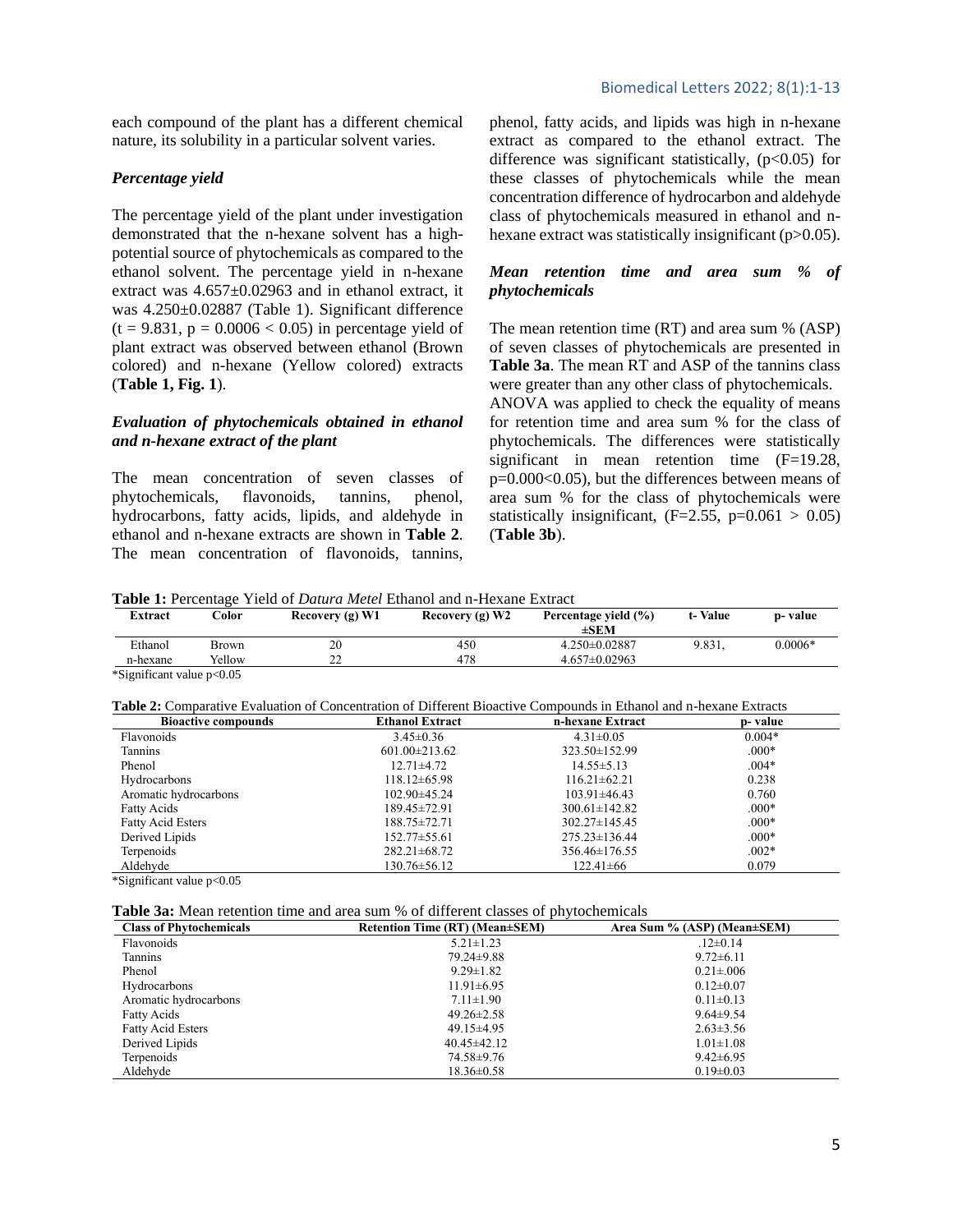each compound of the plant has a different chemical nature, its solubility in a particular solvent varies.

# *Percentage yield*

The percentage yield of the plant under investigation demonstrated that the n-hexane solvent has a highpotential source of phytochemicals as compared to the ethanol solvent. The percentage yield in n-hexane extract was 4.657±0.02963 and in ethanol extract, it was 4.250±0.02887 (Table 1). Significant difference  $(t = 9.831, p = 0.0006 < 0.05)$  in percentage yield of plant extract was observed between ethanol (Brown colored) and n-hexane (Yellow colored) extracts (**Table 1, Fig. 1**).

# *Evaluation of phytochemicals obtained in ethanol and n-hexane extract of the plant*

The mean concentration of seven classes of phytochemicals, flavonoids, tannins, phenol, hydrocarbons, fatty acids, lipids, and aldehyde in ethanol and n-hexane extracts are shown in **Table 2**. The mean concentration of flavonoids, tannins,

# Biomedical Letters 2022; 8(1):1-13

phenol, fatty acids, and lipids was high in n-hexane extract as compared to the ethanol extract. The difference was significant statistically,  $(p<0.05)$  for these classes of phytochemicals while the mean concentration difference of hydrocarbon and aldehyde class of phytochemicals measured in ethanol and nhexane extract was statistically insignificant (p>0.05).

# *Mean retention time and area sum % of phytochemicals*

The mean retention time (RT) and area sum % (ASP) of seven classes of phytochemicals are presented in **Table 3a**. The mean RT and ASP of the tannins class were greater than any other class of phytochemicals.

ANOVA was applied to check the equality of means for retention time and area sum % for the class of phytochemicals. The differences were statistically significant in mean retention time (F=19.28, p=0.000<0.05), but the differences between means of area sum % for the class of phytochemicals were statistically insignificant,  $(F=2.55, p=0.061 > 0.05)$ (**Table 3b**).

**Table 1:** Percentage Yield of *Datura Metel* Ethanol and n-Hexane Extract

| Extract  | $\text{Color}$ | Recovery $(g)$ W1 | Recovery $(g)$ W2 | Percentage yield (%)<br>$\pm$ SEM | t-Value | p- value  |
|----------|----------------|-------------------|-------------------|-----------------------------------|---------|-----------|
| Ethanol  | Brown          | 20                | 450               | $4.250 \pm 0.02887$               | 9.831,  | $0.0006*$ |
| n-hexane | Yellow         | n n<br>∠∠         | 478               | $4.657 \pm 0.02963$               |         |           |

\*Significant value p<0.05

| Table 2: Comparative Evaluation of Concentration of Different Bioactive Compounds in Ethanol and n-hexane Extracts |  |
|--------------------------------------------------------------------------------------------------------------------|--|
|--------------------------------------------------------------------------------------------------------------------|--|

| <b>Bioactive compounds</b> | <b>Ethanol Extract</b> | n-hexane Extract    | p- value |
|----------------------------|------------------------|---------------------|----------|
| Flavonoids                 | $3.45 \pm 0.36$        | $4.31 \pm 0.05$     | $0.004*$ |
| <b>Tannins</b>             | $601.00 \pm 213.62$    | $323.50 \pm 152.99$ | $.000*$  |
| Phenol                     | $12.71 \pm 4.72$       | $14.55 \pm 5.13$    | $.004*$  |
| Hydrocarbons               | $118.12\pm 65.98$      | $116.21 \pm 62.21$  | 0.238    |
| Aromatic hydrocarbons      | 102.90±45.24           | $103.91 \pm 46.43$  | 0.760    |
| Fatty Acids                | 189.45±72.91           | $300.61 \pm 142.82$ | $.000*$  |
| <b>Fatty Acid Esters</b>   | 188.75±72.71           | $302.27 \pm 145.45$ | $.000*$  |
| Derived Lipids             | $152.77 \pm 55.61$     | $275.23 \pm 136.44$ | $.000*$  |
| Terpenoids                 | $282.21 \pm 68.72$     | $356.46 \pm 176.55$ | $.002*$  |
| Aldehyde                   | 130.76±56.12           | $122.41\pm 66$      | 0.079    |

\*Significant value p<0.05

| Table 3a: Mean retention time and area sum % of different classes of phytochemicals |  |  |
|-------------------------------------------------------------------------------------|--|--|
|-------------------------------------------------------------------------------------|--|--|

| <b>Class of Phytochemicals</b> | Retention Time (RT) (Mean±SEM) | Area Sum % (ASP) (Mean±SEM) |
|--------------------------------|--------------------------------|-----------------------------|
| Flavonoids                     | $5.21 \pm 1.23$                | $.12 \pm 0.14$              |
| Tannins                        | 79.24±9.88                     | $9.72 \pm 6.11$             |
| Phenol                         | $9.29 \pm 1.82$                | $0.21 \pm 0.06$             |
| Hydrocarbons                   | $11.91 \pm 6.95$               | $0.12 \pm 0.07$             |
| Aromatic hydrocarbons          | $7.11 \pm 1.90$                | $0.11 \pm 0.13$             |
| <b>Fatty Acids</b>             | $49.26 \pm 2.58$               | $9.64 \pm 9.54$             |
| <b>Fatty Acid Esters</b>       | $49.15\pm4.95$                 | $2.63 \pm 3.56$             |
| Derived Lipids                 | $40.45 \pm 42.12$              | $1.01 \pm 1.08$             |
| Terpenoids                     | 74.58±9.76                     | $9.42 \pm 6.95$             |
| Aldehyde                       | $18.36 \pm 0.58$               | $0.19 \pm 0.03$             |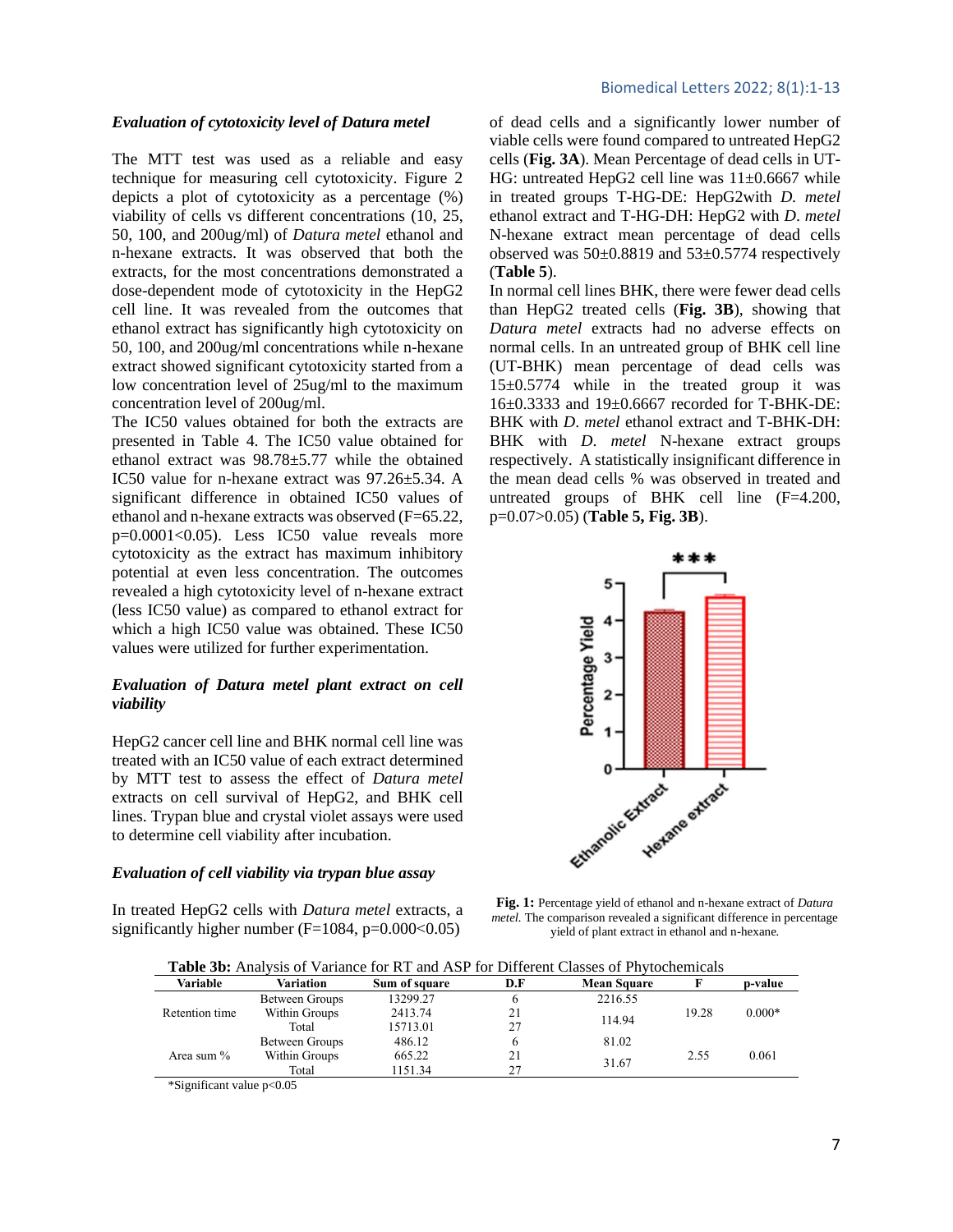#### *Evaluation of cytotoxicity level of Datura metel*

The MTT test was used as a reliable and easy technique for measuring cell cytotoxicity. Figure 2 depicts a plot of cytotoxicity as a percentage (%) viability of cells vs different concentrations (10, 25, 50, 100, and 200ug/ml) of *Datura metel* ethanol and n-hexane extracts. It was observed that both the extracts, for the most concentrations demonstrated a dose-dependent mode of cytotoxicity in the HepG2 cell line. It was revealed from the outcomes that ethanol extract has significantly high cytotoxicity on 50, 100, and 200ug/ml concentrations while n-hexane extract showed significant cytotoxicity started from a low concentration level of 25ug/ml to the maximum concentration level of 200ug/ml.

The IC50 values obtained for both the extracts are presented in Table 4. The IC50 value obtained for ethanol extract was 98.78±5.77 while the obtained IC50 value for n-hexane extract was 97.26±5.34. A significant difference in obtained IC50 values of ethanol and n-hexane extracts was observed (F=65.22,  $p=0.0001<0.05$ . Less IC50 value reveals more cytotoxicity as the extract has maximum inhibitory potential at even less concentration. The outcomes revealed a high cytotoxicity level of n-hexane extract (less IC50 value) as compared to ethanol extract for which a high IC50 value was obtained. These IC50 values were utilized for further experimentation.

# *Evaluation of Datura metel plant extract on cell viability*

HepG2 cancer cell line and BHK normal cell line was treated with an IC50 value of each extract determined by MTT test to assess the effect of *Datura metel*  extracts on cell survival of HepG2, and BHK cell lines. Trypan blue and crystal violet assays were used to determine cell viability after incubation.

# *Evaluation of cell viability via trypan blue assay*

In treated HepG2 cells with *Datura metel* extracts, a significantly higher number  $(F=1084, p=0.000<0.05)$ 

of dead cells and a significantly lower number of viable cells were found compared to untreated HepG2 cells (**Fig. 3A**). Mean Percentage of dead cells in UT-HG: untreated HepG2 cell line was 11±0.6667 while in treated groups T-HG-DE: HepG2with *D. metel*  ethanol extract and T-HG-DH: HepG2 with *D*. *metel*  N-hexane extract mean percentage of dead cells observed was  $50\pm0.8819$  and  $53\pm0.5774$  respectively (**Table 5**).

In normal cell lines BHK, there were fewer dead cells than HepG2 treated cells (**Fig. 3B**), showing that *Datura metel* extracts had no adverse effects on normal cells. In an untreated group of BHK cell line (UT-BHK) mean percentage of dead cells was 15±0.5774 while in the treated group it was 16±0.3333 and 19±0.6667 recorded for T-BHK-DE: BHK with *D. metel* ethanol extract and T-BHK-DH: BHK with *D*. *metel* N-hexane extract groups respectively. A statistically insignificant difference in the mean dead cells % was observed in treated and untreated groups of BHK cell line (F=4.200, p=0.07>0.05) (**Table 5, Fig. 3B**).



**Fig. 1:** Percentage yield of ethanol and n-hexane extract of *Datura metel.* The comparison revealed a significant difference in percentage yield of plant extract in ethanol and n-hexane*.*

**Table 3b:** Analysis of Variance for RT and ASP for Different Classes of Phytochemicals

| Variable       | Variation               | Sum of square | D.F | <b>Mean Square</b> |       | p-value  |  |
|----------------|-------------------------|---------------|-----|--------------------|-------|----------|--|
|                | Between Groups          | 13299.27      |     | 2216.55            |       |          |  |
| Retention time | Within Groups           | 2413.74       | 21  | 114.94             | 19.28 | $0.000*$ |  |
|                | Total                   | 15713.01      | 27  |                    |       |          |  |
| Area sum %     | Between Groups          | 486.12        |     | 81.02              |       |          |  |
|                | Within Groups<br>665.22 |               | 21  |                    | 2.55  | 0.061    |  |
|                | Total                   | 1151.34       | 27  | 31.67              |       |          |  |

\*Significant value p<0.05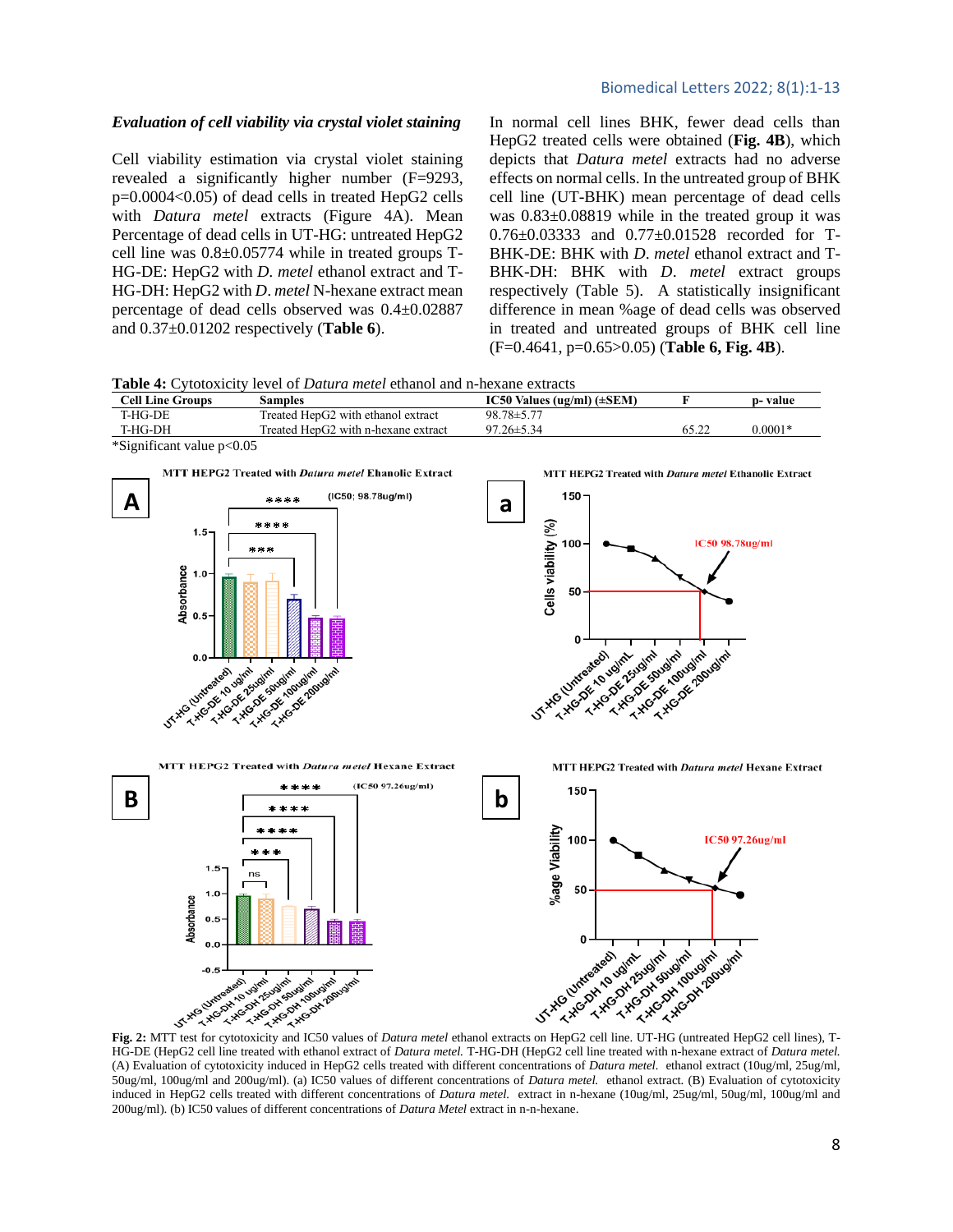#### *Evaluation of cell viability via crystal violet staining*

Cell viability estimation via crystal violet staining revealed a significantly higher number (F=9293, p=0.0004<0.05) of dead cells in treated HepG2 cells with *Datura metel* extracts (Figure 4A). Mean Percentage of dead cells in UT-HG: untreated HepG2 cell line was  $0.8\pm0.05774$  while in treated groups T-HG-DE: HepG2 with *D. metel* ethanol extract and T-HG-DH: HepG2 with *D*. *metel* N-hexane extract mean percentage of dead cells observed was 0.4±0.02887 and 0.37±0.01202 respectively (**Table 6**).

In normal cell lines BHK, fewer dead cells than HepG2 treated cells were obtained (**Fig. 4B**), which depicts that *Datura metel* extracts had no adverse effects on normal cells. In the untreated group of BHK cell line (UT-BHK) mean percentage of dead cells was 0.83±0.08819 while in the treated group it was 0.76±0.03333 and 0.77±0.01528 recorded for T-BHK-DE: BHK with *D. metel* ethanol extract and T-BHK-DH: BHK with *D. metel* extract groups respectively (Table 5). A statistically insignificant difference in mean %age of dead cells was observed in treated and untreated groups of BHK cell line (F=0.4641, p=0.65>0.05) (**Table 6, Fig. 4B**).

**Table 4:** Cytotoxicity level of *Datura metel* ethanol and n-hexane extracts

| <b>Cell Line Groups</b> | Samples                                         | IC50 Values (ug/ml) $(\pm$ SEM) |       | p-value   |
|-------------------------|-------------------------------------------------|---------------------------------|-------|-----------|
| T-HG-DE                 | Treated HepG2 with ethanol extract              | 98.78±5.77                      |       |           |
| T-HG-DH                 | Treated HenG <sub>2</sub> with n-hexane extract | $97.26 \pm 5.34$                | 65.22 | $0.0001*$ |
| $201 - 10$              |                                                 |                                 |       |           |





HG-DE (HepG2 cell line treated with ethanol extract of *Datura metel.* T-HG-DH (HepG2 cell line treated with n-hexane extract of *Datura metel.*  (A) Evaluation of cytotoxicity induced in HepG2 cells treated with different concentrations of *Datura metel.* ethanol extract (10ug/ml, 25ug/ml, 50ug/ml, 100ug/ml and 200ug/ml). (a) IC50 values of different concentrations of *Datura metel.* ethanol extract. (B) Evaluation of cytotoxicity induced in HepG2 cells treated with different concentrations of *Datura metel.* extract in n-hexane (10ug/ml, 25ug/ml, 50ug/ml, 100ug/ml and 200ug/ml). (b) IC50 values of different concentrations of *Datura Metel* extract in n-n-hexane.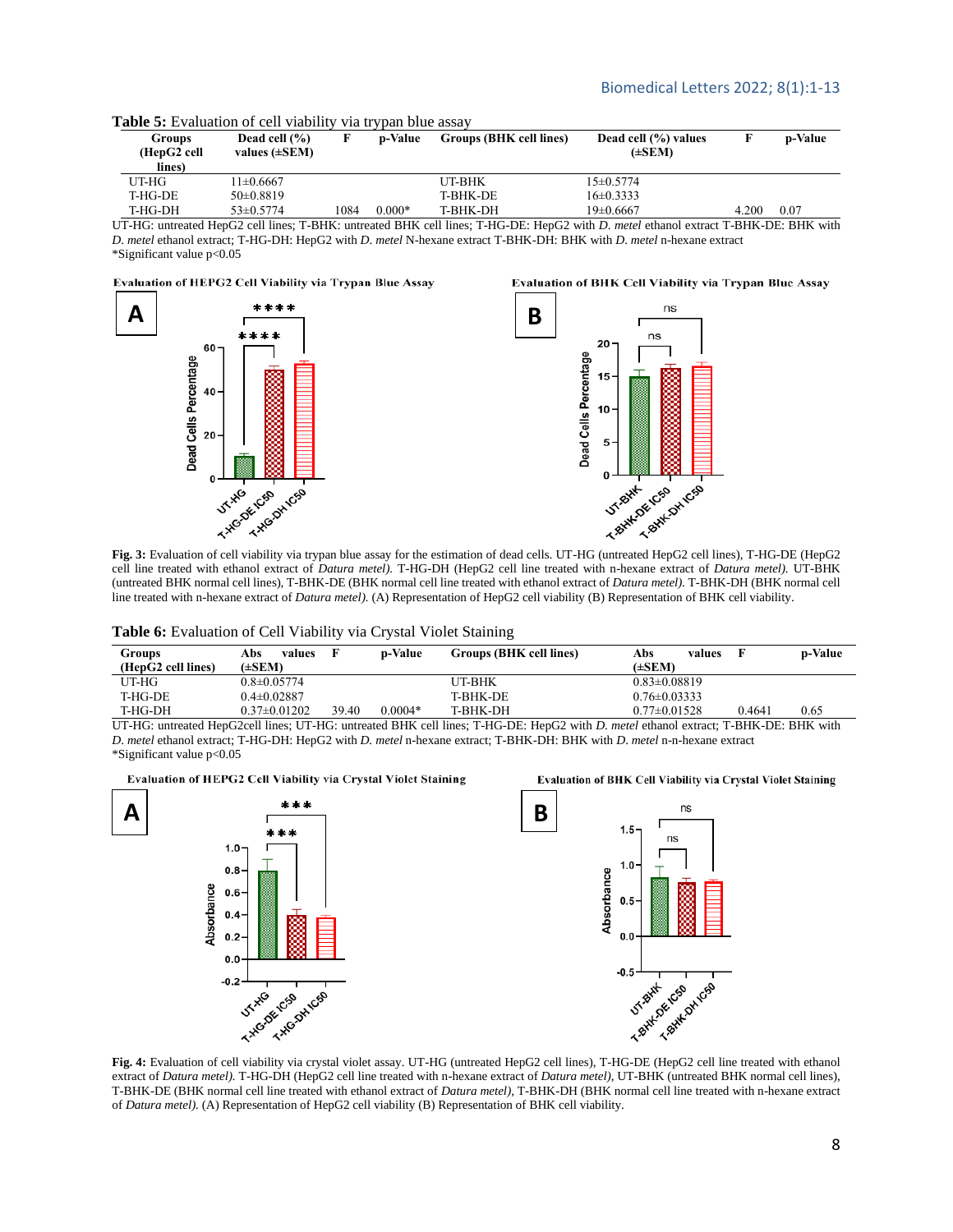Evaluation of BHK Cell Viability via Trypan Blue Assay

| <b>Groups</b><br>(HepG2 cell<br>lines) | Dead cell $(\% )$<br>values $(\pm SEM)$ |      | <b>p-Value</b> | Groups (BHK cell lines) | Dead cell (%) values<br>$(\pm$ SEM |       | p-Value   |
|----------------------------------------|-----------------------------------------|------|----------------|-------------------------|------------------------------------|-------|-----------|
| UT-HG-                                 | $1\pm 0.6667$                           |      |                | UT-BHK                  | $15+0.5774$                        |       |           |
| T-HG-DE                                | $50\pm0.8819$                           |      |                | T-BHK-DE                | $16\pm0.3333$                      |       |           |
| T-HG-DH                                | $53 \pm 0.5774$                         | 1084 | $0.000*$       | T-BHK-DH                | 19±0.6667                          | 4.200 | $_{0.07}$ |

**Table 5:** Evaluation of cell viability via trypan blue assay

UT-HG: untreated HepG2 cell lines; T-BHK: untreated BHK cell lines; T-HG-DE: HepG2 with *D*. *metel* ethanol extract T-BHK-DE: BHK with *D*. *metel* ethanol extract; T-HG-DH: HepG2 with *D*. *metel* N-hexane extract T-BHK-DH: BHK with *D*. *metel* n-hexane extract \*Significant value p<0.05

#### Evaluation of HEPG2 Cell Viability via Trypan Blue Assay



cell line treated with ethanol extract of *Datura metel).* T-HG-DH (HepG2 cell line treated with n-hexane extract of *Datura metel).* UT-BHK (untreated BHK normal cell lines), T-BHK-DE (BHK normal cell line treated with ethanol extract of *Datura metel).* T-BHK-DH (BHK normal cell line treated with n-hexane extract of *Datura metel).* (A) Representation of HepG2 cell viability (B) Representation of BHK cell viability.

#### **Table 6:** Evaluation of Cell Viability via Crystal Violet Staining

| Groups<br>(HepG2 cell lines) | Abs<br>values<br>$(\pm$ SEM $)$ |       | <b>p-Value</b> | Groups (BHK cell lines) | Abs<br>values<br>$(\pm$ SEM $)$ |        | p-Value |
|------------------------------|---------------------------------|-------|----------------|-------------------------|---------------------------------|--------|---------|
| UT-HG                        | $0.8 \pm 0.05774$               |       |                | UT-BHK                  | $0.83 \pm 0.08819$              |        |         |
| T-HG-DE                      | $0.4 \pm 0.02887$               |       |                | <b>T-BHK-DE</b>         | $0.76 \pm 0.03333$              |        |         |
| T-HG-DH                      | $0.37\pm0.01202$                | 39.40 | $0.0004*$      | T-BHK-DH                | $0.77 \pm 0.01528$              | 0.4641 | 0.65    |

UT-HG: untreated HepG2cell lines; UT-HG: untreated BHK cell lines; T-HG-DE: HepG2 with *D*. *metel* ethanol extract; T-BHK-DE: BHK with *D*. *metel* ethanol extract; T-HG-DH: HepG2 with *D. metel* n-hexane extract; T-BHK-DH: BHK with *D*. *metel* n-n-hexane extract \*Significant value p<0.05

Evaluation of HEPG2 Cell Viability via Crystal Violet Staining





**Fig. 4:** Evaluation of cell viability via crystal violet assay. UT-HG (untreated HepG2 cell lines), T-HG-DE (HepG2 cell line treated with ethanol extract of *Datura metel).* T-HG-DH (HepG2 cell line treated with n-hexane extract of *Datura metel),* UT-BHK (untreated BHK normal cell lines), T-BHK-DE (BHK normal cell line treated with ethanol extract of *Datura metel),* T-BHK-DH (BHK normal cell line treated with n-hexane extract of *Datura metel).* (A) Representation of HepG2 cell viability (B) Representation of BHK cell viability.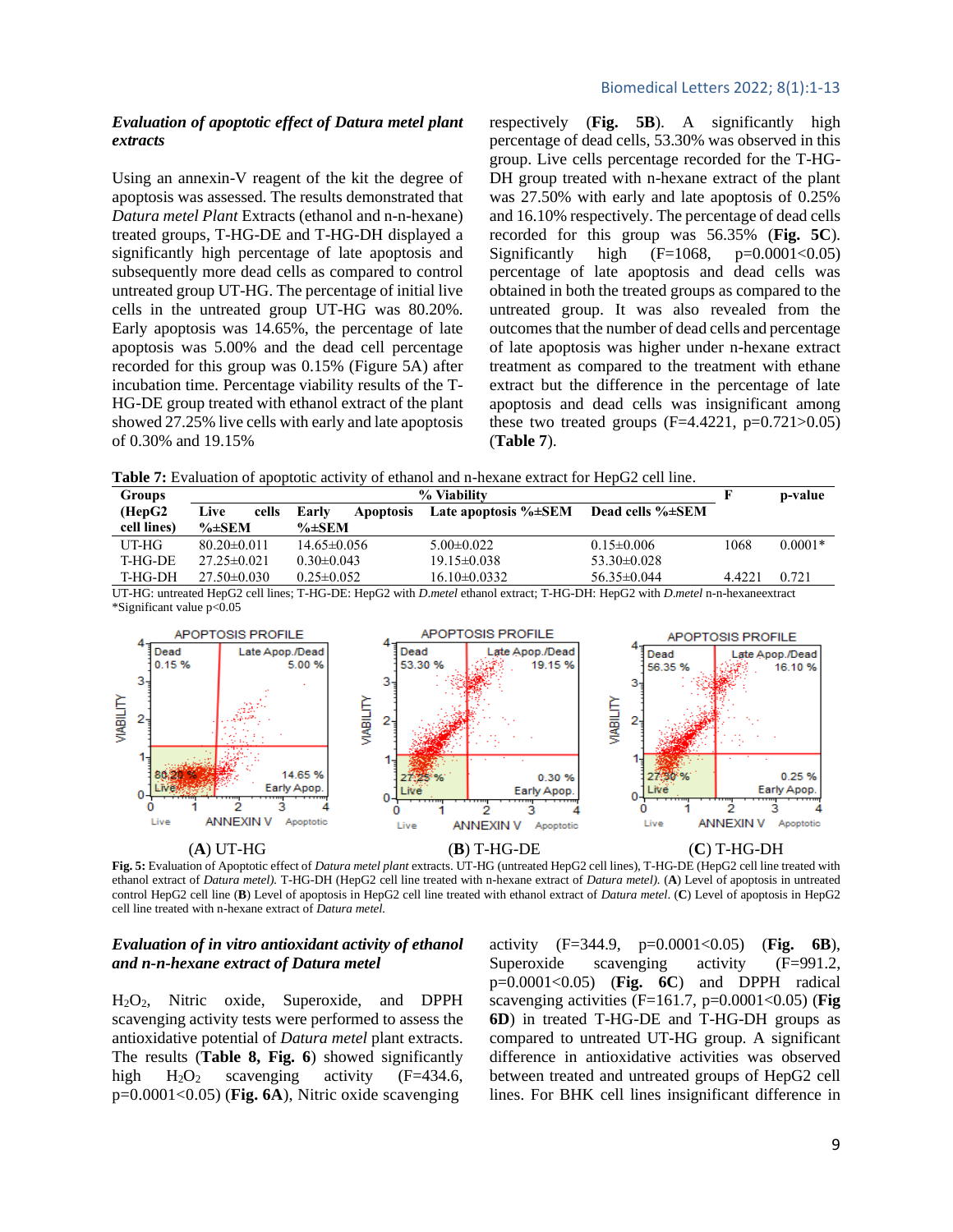# *Evaluation of apoptotic effect of Datura metel plant extracts*

Using an annexin-V reagent of the kit the degree of apoptosis was assessed. The results demonstrated that *Datura metel Plant* Extracts (ethanol and n-n-hexane) treated groups, T-HG-DE and T-HG-DH displayed a significantly high percentage of late apoptosis and subsequently more dead cells as compared to control untreated group UT-HG. The percentage of initial live cells in the untreated group UT-HG was 80.20%. Early apoptosis was 14.65%, the percentage of late apoptosis was 5.00% and the dead cell percentage recorded for this group was 0.15% (Figure 5A) after incubation time. Percentage viability results of the T-HG-DE group treated with ethanol extract of the plant showed 27.25% live cells with early and late apoptosis of 0.30% and 19.15%

respectively (**Fig. 5B**). A significantly high percentage of dead cells, 53.30% was observed in this group. Live cells percentage recorded for the T-HG-DH group treated with n-hexane extract of the plant was 27.50% with early and late apoptosis of 0.25% and 16.10% respectively. The percentage of dead cells recorded for this group was 56.35% (**Fig. 5C**). Significantly high  $(F=1068, p=0.0001<0.05)$ percentage of late apoptosis and dead cells was obtained in both the treated groups as compared to the untreated group. It was also revealed from the outcomes that the number of dead cells and percentage of late apoptosis was higher under n-hexane extract treatment as compared to the treatment with ethane extract but the difference in the percentage of late apoptosis and dead cells was insignificant among these two treated groups  $(F=4.4221, p=0.721>0.05)$ (**Table 7**).

**Table 7:** Evaluation of apoptotic activity of ethanol and n-hexane extract for HepG2 cell line.

| Groups      |                   | F                         | p-value                     |                                |        |           |
|-------------|-------------------|---------------------------|-----------------------------|--------------------------------|--------|-----------|
| (HepG2)     | Live<br>cells     | Early<br><b>Apoptosis</b> | Late apoptosis $\% \pm SEM$ | Dead cells $\% \pm \text{SEM}$ |        |           |
| cell lines) | $\% \pm$ SEM      | $\% \pm$ SEM              |                             |                                |        |           |
| UT-HG-      | $80.20 \pm 0.011$ | $14.65 \pm 0.056$         | $5.00 \pm 0.022$            | $0.15 \pm 0.006$               | 1068   | $0.0001*$ |
| T-HG-DE     | $27.25 \pm 0.021$ | $0.30 \pm 0.043$          | $19.15 \pm 0.038$           | $53.30 \pm 0.028$              |        |           |
| T-HG-DH     | $27.50 \pm 0.030$ | $0.25 \pm 0.052$          | $16.10\pm0.0332$            | $56.35 \pm 0.044$              | 4.4221 | 0.721     |

UT-HG: untreated HepG2 cell lines; T-HG-DE: HepG2 with *D*.*metel* ethanol extract; T-HG-DH: HepG2 with *D*.*metel* n-n-hexaneextract \*Significant value p<0.05



**Fig. 5:** Evaluation of Apoptotic effect of *Datura metel plant* extracts. UT-HG (untreated HepG2 cell lines), T-HG-DE (HepG2 cell line treated with ethanol extract of *Datura metel).* T-HG-DH (HepG2 cell line treated with n-hexane extract of *Datura metel).* (**A**) Level of apoptosis in untreated control HepG2 cell line (**B**) Level of apoptosis in HepG2 cell line treated with ethanol extract of *Datura metel*. (**C**) Level of apoptosis in HepG2 cell line treated with n-hexane extract of *Datura metel.*

# *Evaluation of in vitro antioxidant activity of ethanol and n-n-hexane extract of Datura metel*

H2O2, Nitric oxide, Superoxide, and DPPH scavenging activity tests were performed to assess the antioxidative potential of *Datura metel* plant extracts. The results (**Table 8, Fig. 6**) showed significantly high  $H_2O_2$  scavenging activity (F=434.6, p=0.0001<0.05) (**Fig. 6A**), Nitric oxide scavenging

activity (F=344.9, p=0.0001<0.05) (**Fig. 6B**), Superoxide scavenging activity (F=991.2, p=0.0001<0.05) (**Fig. 6C**) and DPPH radical scavenging activities (F=161.7, p=0.0001<0.05) (**Fig 6D**) in treated T-HG-DE and T-HG-DH groups as compared to untreated UT-HG group. A significant difference in antioxidative activities was observed between treated and untreated groups of HepG2 cell lines. For BHK cell lines insignificant difference in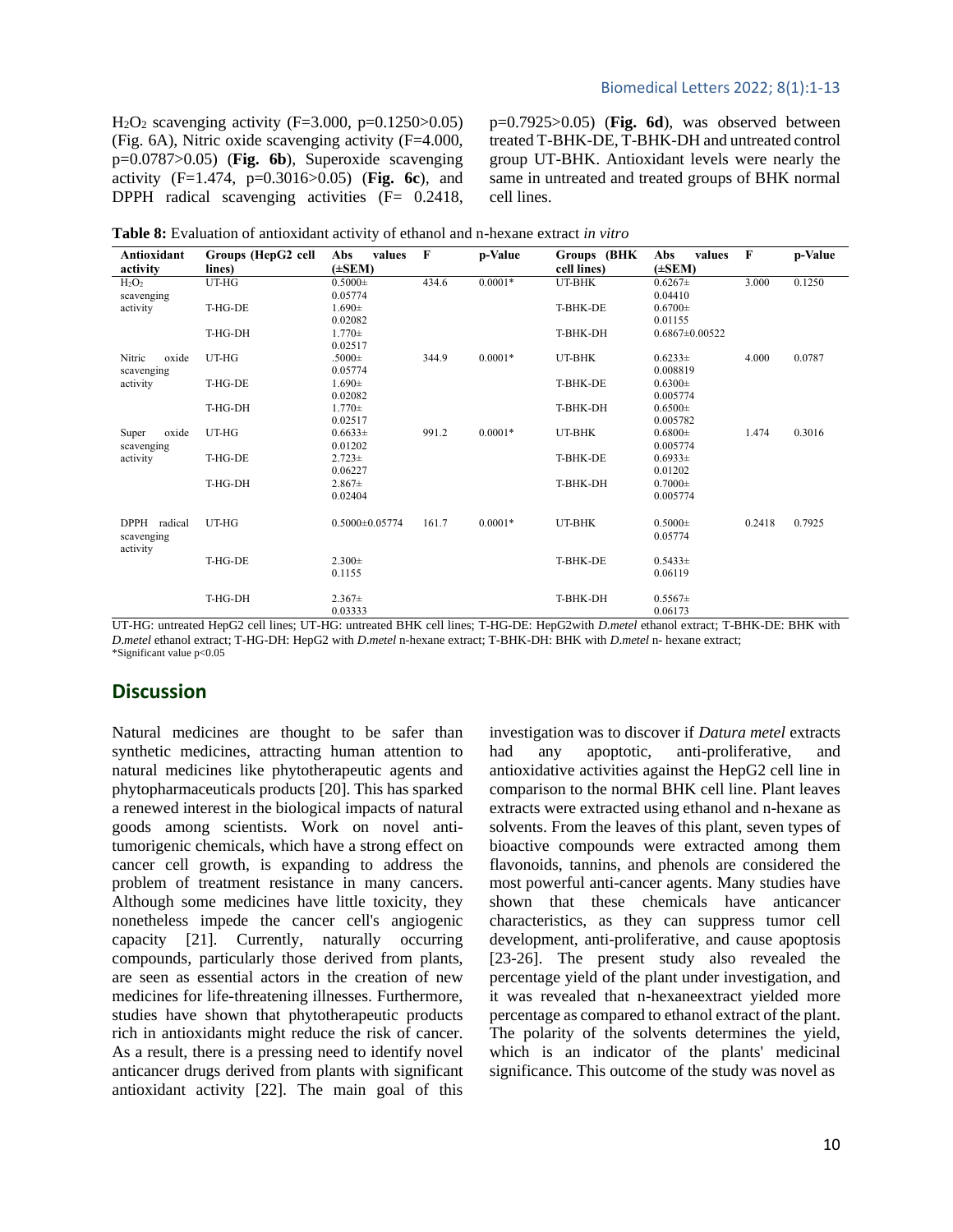$H<sub>2</sub>O<sub>2</sub>$  scavenging activity (F=3.000, p=0.1250>0.05) (Fig. 6A), Nitric oxide scavenging activity (F=4.000, p=0.0787>0.05) (**Fig. 6b**), Superoxide scavenging activity (F=1.474, p=0.3016>0.05) (**Fig. 6c**), and DPPH radical scavenging activities (F= 0.2418, p=0.7925>0.05) (**Fig. 6d**), was observed between treated T-BHK-DE, T-BHK-DH and untreated control group UT-BHK. Antioxidant levels were nearly the same in untreated and treated groups of BHK normal cell lines.

| Table 8: Evaluation of antioxidant activity of ethanol and n-hexane extract in vitro |  |  |                         |  |
|--------------------------------------------------------------------------------------|--|--|-------------------------|--|
|                                                                                      |  |  |                         |  |
| $\lambda$ utioridant Cuanna (HanC) soll $\lambda$ ba voluss E                        |  |  | n Value Crouse (DHV Ake |  |

| Antioxidant            | Groups (HepG2 cell | values<br>Abs        | $\mathbf{F}$ | p-Value   | Groups (BHK | Abs<br>values        | $\mathbf F$ | p-Value |
|------------------------|--------------------|----------------------|--------------|-----------|-------------|----------------------|-------------|---------|
| activity               | lines)             | $(\pm$ SEM)          |              |           | cell lines) | $(\pm$ SEM)          |             |         |
| $H_2O_2$               | UT-HG              | $0.5000 \pm$         | 434.6        | $0.0001*$ | UT-BHK      | $0.6267\pm$          | 3.000       | 0.1250  |
| scavenging             |                    | 0.05774              |              |           |             | 0.04410              |             |         |
| activity               | T-HG-DE            | $1.690 \pm$          |              |           | T-BHK-DE    | $0.6700 \pm$         |             |         |
|                        |                    | 0.02082              |              |           |             | 0.01155              |             |         |
|                        | T-HG-DH            | $1.770 \pm$          |              |           | T-BHK-DH    | $0.6867 \pm 0.00522$ |             |         |
|                        |                    | 0.02517              |              |           |             |                      |             |         |
| Nitric<br>oxide        | UT-HG              | $.5000 \pm$          | 344.9        | $0.0001*$ | UT-BHK      | $0.6233\pm$          | 4.000       | 0.0787  |
| scavenging             |                    | 0.05774              |              |           |             | 0.008819             |             |         |
| activity               | T-HG-DE            | $1.690 \pm$          |              |           | T-BHK-DE    | $0.6300 \pm$         |             |         |
|                        |                    | 0.02082              |              |           |             | 0.005774             |             |         |
|                        | T-HG-DH            | $1.770 \pm$          |              |           | T-BHK-DH    | $0.6500 \pm$         |             |         |
|                        |                    | 0.02517              |              |           |             | 0.005782             |             |         |
| oxide<br>Super         | UT-HG              | $0.6633\pm$          | 991.2        | $0.0001*$ | UT-BHK      | $0.6800 \pm$         | 1.474       | 0.3016  |
| scavenging             |                    | 0.01202              |              |           |             | 0.005774             |             |         |
| activity               | T-HG-DE            | $2.723 \pm$          |              |           | T-BHK-DE    | $0.6933\pm$          |             |         |
|                        |                    | 0.06227              |              |           |             | 0.01202              |             |         |
|                        | T-HG-DH            | $2.867\pm$           |              |           | T-BHK-DH    | $0.7000 \pm$         |             |         |
|                        |                    | 0.02404              |              |           |             | 0.005774             |             |         |
| DPPH radical           | UT-HG              | $0.5000 \pm 0.05774$ | 161.7        | $0.0001*$ | UT-BHK      | $0.5000 \pm$         | 0.2418      | 0.7925  |
|                        |                    |                      |              |           |             | 0.05774              |             |         |
| scavenging<br>activity |                    |                      |              |           |             |                      |             |         |
|                        | T-HG-DE            | $2.300 \pm$          |              |           | T-BHK-DE    | $0.5433\pm$          |             |         |
|                        |                    | 0.1155               |              |           |             | 0.06119              |             |         |
|                        |                    |                      |              |           |             |                      |             |         |
|                        | T-HG-DH            | $2.367\pm$           |              |           | T-BHK-DH    | $0.5567\pm$          |             |         |
|                        |                    | 0.03333              |              |           |             | 0.06173              |             |         |

UT-HG: untreated HepG2 cell lines; UT-HG: untreated BHK cell lines; T-HG-DE: HepG2with *D*.*metel* ethanol extract; T-BHK-DE: BHK with *D*.*metel* ethanol extract; T-HG-DH: HepG2 with *D*.*metel* n-hexane extract; T-BHK-DH: BHK with *D*.*metel* n- hexane extract; \*Significant value p<0.05

# **Discussion**

Natural medicines are thought to be safer than synthetic medicines, attracting human attention to natural medicines like phytotherapeutic agents and phytopharmaceuticals products [20]. This has sparked a renewed interest in the biological impacts of natural goods among scientists. Work on novel antitumorigenic chemicals, which have a strong effect on cancer cell growth, is expanding to address the problem of treatment resistance in many cancers. Although some medicines have little toxicity, they nonetheless impede the cancer cell's angiogenic capacity [21]. Currently, naturally occurring compounds, particularly those derived from plants, are seen as essential actors in the creation of new medicines for life-threatening illnesses. Furthermore, studies have shown that phytotherapeutic products rich in antioxidants might reduce the risk of cancer. As a result, there is a pressing need to identify novel anticancer drugs derived from plants with significant antioxidant activity [22]. The main goal of this

investigation was to discover if *Datura metel* extracts had any apoptotic, anti-proliferative, and antioxidative activities against the HepG2 cell line in comparison to the normal BHK cell line. Plant leaves extracts were extracted using ethanol and n-hexane as solvents. From the leaves of this plant, seven types of bioactive compounds were extracted among them flavonoids, tannins, and phenols are considered the most powerful anti-cancer agents. Many studies have shown that these chemicals have anticancer characteristics, as they can suppress tumor cell development, anti-proliferative, and cause apoptosis [23-26]. The present study also revealed the percentage yield of the plant under investigation, and it was revealed that n-hexaneextract yielded more percentage as compared to ethanol extract of the plant. The polarity of the solvents determines the yield, which is an indicator of the plants' medicinal significance. This outcome of the study was novel as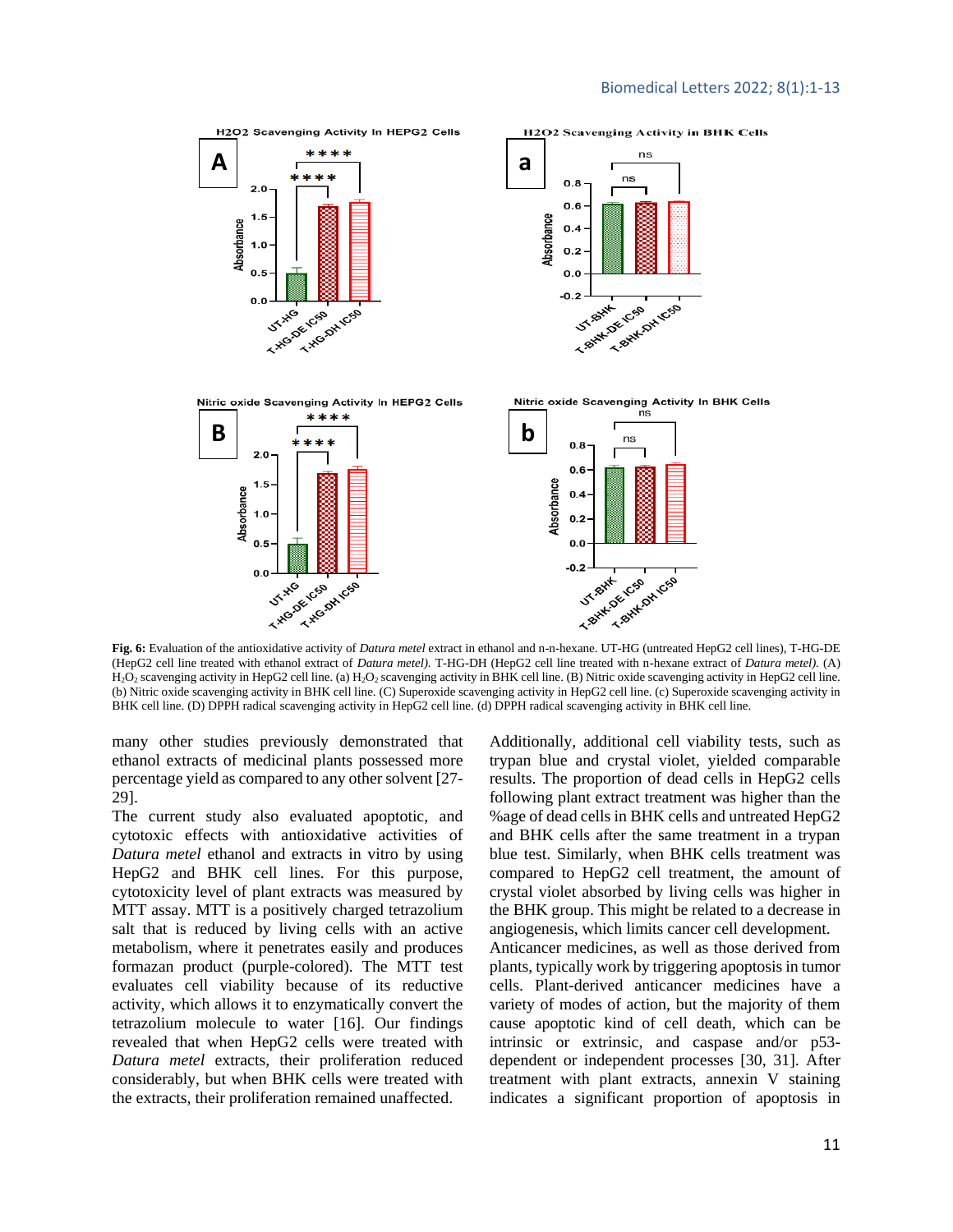

**Fig. 6:** Evaluation of the antioxidative activity of *Datura metel* extract in ethanol and n-n-hexane. UT-HG (untreated HepG2 cell lines), T-HG-DE (HepG2 cell line treated with ethanol extract of *Datura metel).* T-HG-DH (HepG2 cell line treated with n-hexane extract of *Datura metel).* (A)  $H_2O_2$  scavenging activity in HepG2 cell line. (a)  $H_2O_2$  scavenging activity in BHK cell line. (B) Nitric oxide scavenging activity in HepG2 cell line. (b) Nitric oxide scavenging activity in BHK cell line. (C) Superoxide scavenging activity in HepG2 cell line. (c) Superoxide scavenging activity in BHK cell line. (D) DPPH radical scavenging activity in HepG2 cell line. (d) DPPH radical scavenging activity in BHK cell line.

many other studies previously demonstrated that ethanol extracts of medicinal plants possessed more percentage yield as compared to any other solvent [27- 29].

The current study also evaluated apoptotic, and cytotoxic effects with antioxidative activities of *Datura metel* ethanol and extracts in vitro by using HepG2 and BHK cell lines. For this purpose, cytotoxicity level of plant extracts was measured by MTT assay. MTT is a positively charged tetrazolium salt that is reduced by living cells with an active metabolism, where it penetrates easily and produces formazan product (purple-colored). The MTT test evaluates cell viability because of its reductive activity, which allows it to enzymatically convert the tetrazolium molecule to water [16]. Our findings revealed that when HepG2 cells were treated with *Datura metel* extracts, their proliferation reduced considerably, but when BHK cells were treated with the extracts, their proliferation remained unaffected.

Additionally, additional cell viability tests, such as trypan blue and crystal violet, yielded comparable results. The proportion of dead cells in HepG2 cells following plant extract treatment was higher than the %age of dead cells in BHK cells and untreated HepG2 and BHK cells after the same treatment in a trypan blue test. Similarly, when BHK cells treatment was compared to HepG2 cell treatment, the amount of crystal violet absorbed by living cells was higher in the BHK group. This might be related to a decrease in angiogenesis, which limits cancer cell development. Anticancer medicines, as well as those derived from plants, typically work by triggering apoptosis in tumor cells. Plant-derived anticancer medicines have a

variety of modes of action, but the majority of them cause apoptotic kind of cell death, which can be intrinsic or extrinsic, and caspase and/or p53 dependent or independent processes [30, 31]. After treatment with plant extracts, annexin V staining indicates a significant proportion of apoptosis in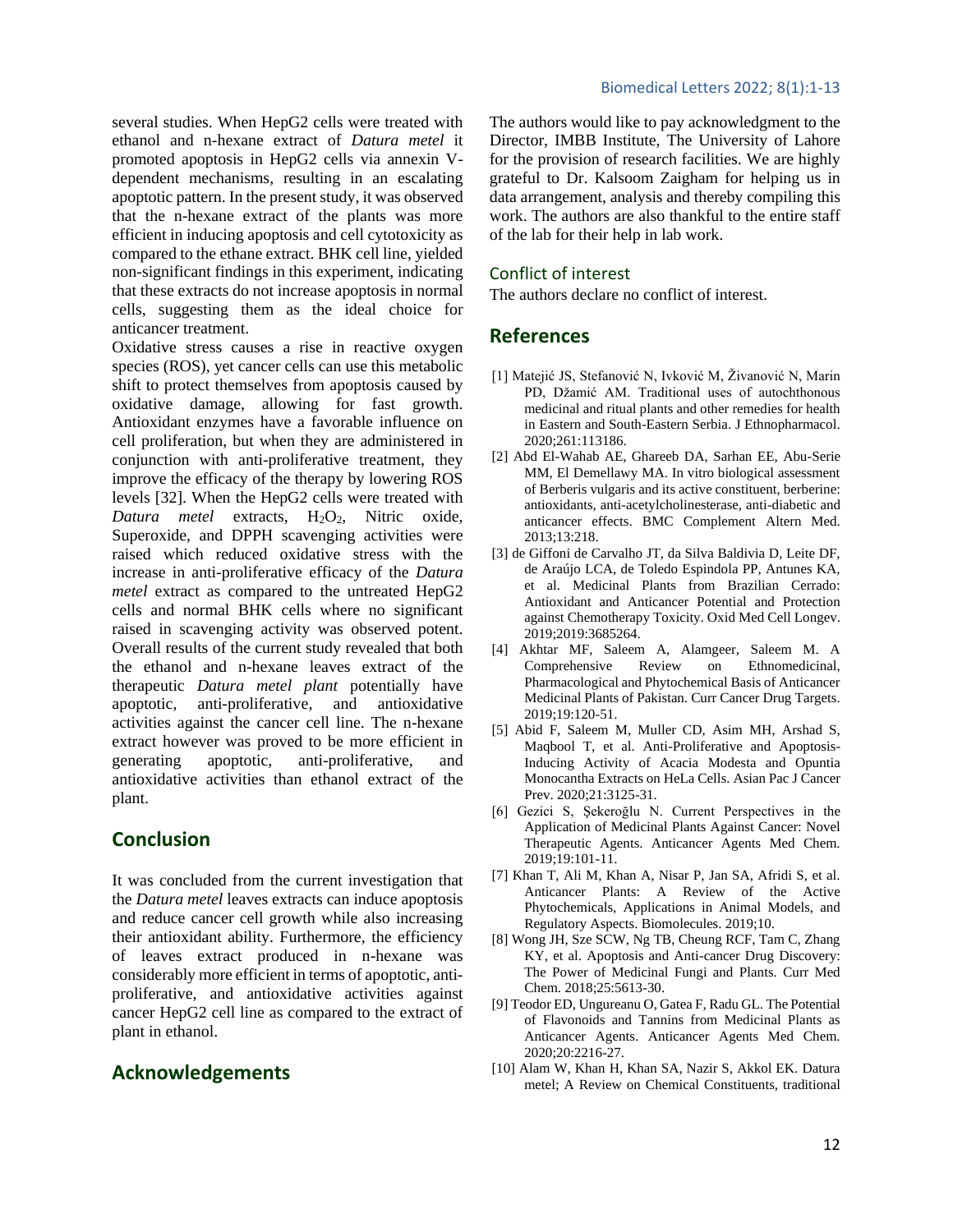several studies. When HepG2 cells were treated with ethanol and n-hexane extract of *Datura metel* it promoted apoptosis in HepG2 cells via annexin Vdependent mechanisms, resulting in an escalating apoptotic pattern. In the present study, it was observed that the n-hexane extract of the plants was more efficient in inducing apoptosis and cell cytotoxicity as compared to the ethane extract. BHK cell line, yielded non-significant findings in this experiment, indicating that these extracts do not increase apoptosis in normal cells, suggesting them as the ideal choice for anticancer treatment.

Oxidative stress causes a rise in reactive oxygen species (ROS), yet cancer cells can use this metabolic shift to protect themselves from apoptosis caused by oxidative damage, allowing for fast growth. Antioxidant enzymes have a favorable influence on cell proliferation, but when they are administered in conjunction with anti-proliferative treatment, they improve the efficacy of the therapy by lowering ROS levels [32]. When the HepG2 cells were treated with *Datura metel* extracts, H<sub>2</sub>O<sub>2</sub>, Nitric oxide, Superoxide, and DPPH scavenging activities were raised which reduced oxidative stress with the increase in anti-proliferative efficacy of the *Datura metel* extract as compared to the untreated HepG2 cells and normal BHK cells where no significant raised in scavenging activity was observed potent. Overall results of the current study revealed that both the ethanol and n-hexane leaves extract of the therapeutic *Datura metel plant* potentially have apoptotic, anti-proliferative, and antioxidative activities against the cancer cell line. The n-hexane extract however was proved to be more efficient in generating apoptotic, anti-proliferative, and antioxidative activities than ethanol extract of the plant.

# **Conclusion**

It was concluded from the current investigation that the *Datura metel* leaves extracts can induce apoptosis and reduce cancer cell growth while also increasing their antioxidant ability. Furthermore, the efficiency of leaves extract produced in n-hexane was considerably more efficient in terms of apoptotic, antiproliferative, and antioxidative activities against cancer HepG2 cell line as compared to the extract of plant in ethanol.

# **Acknowledgements**

The authors would like to pay acknowledgment to the Director, IMBB Institute, The University of Lahore for the provision of research facilities. We are highly grateful to Dr. Kalsoom Zaigham for helping us in data arrangement, analysis and thereby compiling this work. The authors are also thankful to the entire staff of the lab for their help in lab work.

# Conflict of interest

The authors declare no conflict of interest.

# **References**

- [1] Matejić JS, Stefanović N, Ivković M, Živanović N, Marin PD, Džamić AM. Traditional uses of autochthonous medicinal and ritual plants and other remedies for health in Eastern and South-Eastern Serbia. J Ethnopharmacol. 2020;261:113186.
- [2] Abd El-Wahab AE, Ghareeb DA, Sarhan EE, Abu-Serie MM, El Demellawy MA. In vitro biological assessment of Berberis vulgaris and its active constituent, berberine: antioxidants, anti-acetylcholinesterase, anti-diabetic and anticancer effects. BMC Complement Altern Med. 2013;13:218.
- [3] de Giffoni de Carvalho JT, da Silva Baldivia D, Leite DF, de Araújo LCA, de Toledo Espindola PP, Antunes KA, et al. Medicinal Plants from Brazilian Cerrado: Antioxidant and Anticancer Potential and Protection against Chemotherapy Toxicity. Oxid Med Cell Longev. 2019;2019:3685264.
- [4] Akhtar MF, Saleem A, Alamgeer, Saleem M. A Comprehensive Review on Ethnomedicinal, Pharmacological and Phytochemical Basis of Anticancer Medicinal Plants of Pakistan. Curr Cancer Drug Targets. 2019;19:120-51.
- [5] Abid F, Saleem M, Muller CD, Asim MH, Arshad S, Maqbool T, et al. Anti-Proliferative and Apoptosis-Inducing Activity of Acacia Modesta and Opuntia Monocantha Extracts on HeLa Cells. Asian Pac J Cancer Prev. 2020;21:3125-31.
- [6] Gezici S, Şekeroğlu N. Current Perspectives in the Application of Medicinal Plants Against Cancer: Novel Therapeutic Agents. Anticancer Agents Med Chem. 2019;19:101-11.
- [7] Khan T, Ali M, Khan A, Nisar P, Jan SA, Afridi S, et al. Anticancer Plants: A Review of the Active Phytochemicals, Applications in Animal Models, and Regulatory Aspects. Biomolecules. 2019;10.
- [8] Wong JH, Sze SCW, Ng TB, Cheung RCF, Tam C, Zhang KY, et al. Apoptosis and Anti-cancer Drug Discovery: The Power of Medicinal Fungi and Plants. Curr Med Chem. 2018;25:5613-30.
- [9] Teodor ED, Ungureanu O, Gatea F, Radu GL. The Potential of Flavonoids and Tannins from Medicinal Plants as Anticancer Agents. Anticancer Agents Med Chem. 2020;20:2216-27.
- [10] Alam W, Khan H, Khan SA, Nazir S, Akkol EK. Datura metel; A Review on Chemical Constituents, traditional